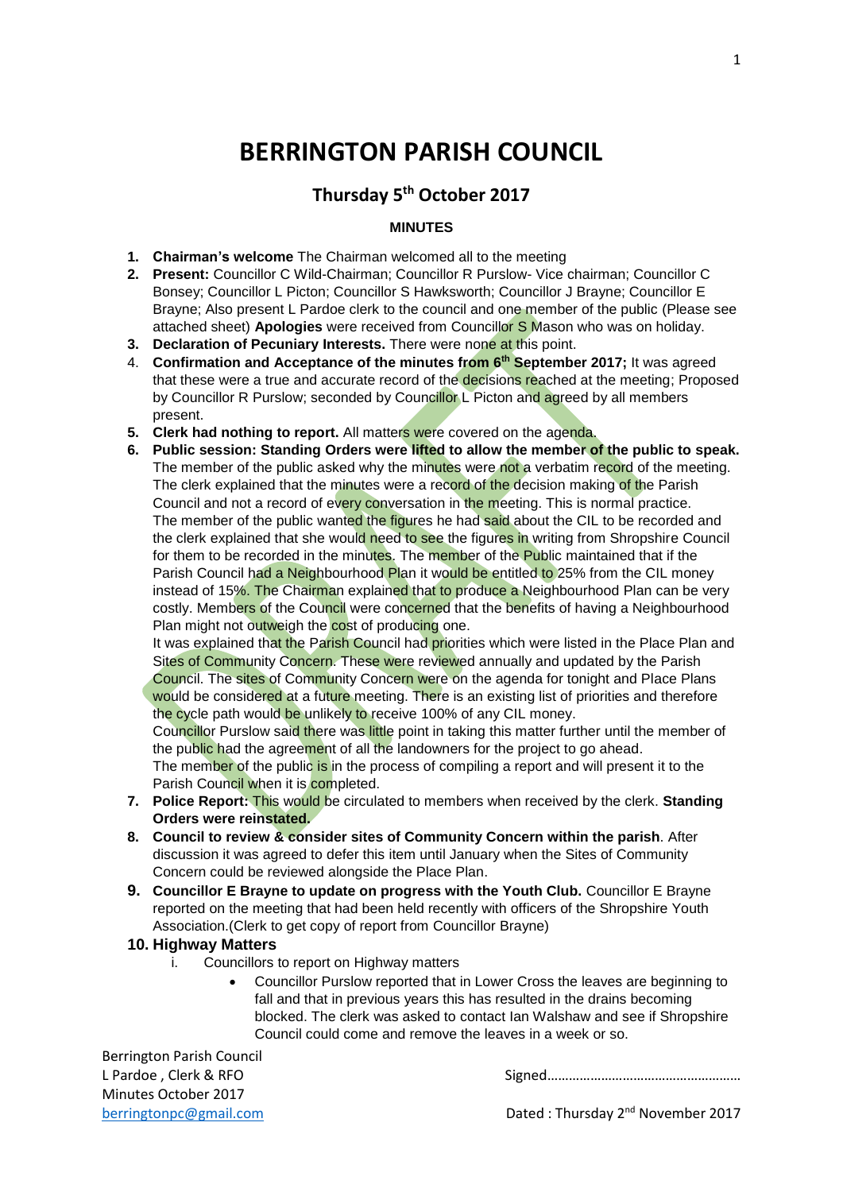# **BERRINGTON PARISH COUNCIL**

# **Thursday 5th October 2017**

# **MINUTES**

- **1. Chairman's welcome** The Chairman welcomed all to the meeting
- **2. Present:** Councillor C Wild-Chairman; Councillor R Purslow- Vice chairman; Councillor C Bonsey; Councillor L Picton; Councillor S Hawksworth; Councillor J Brayne; Councillor E Brayne; Also present L Pardoe clerk to the council and one member of the public (Please see attached sheet) **Apologies** were received from Councillor S Mason who was on holiday.
- **3. Declaration of Pecuniary Interests.** There were none at this point.
- 4. **Confirmation and Acceptance of the minutes from 6th September 2017;** It was agreed that these were a true and accurate record of the decisions reached at the meeting; Proposed by Councillor R Purslow; seconded by Councillor L Picton and agreed by all members present.
- **5. Clerk had nothing to report.** All matters were covered on the agenda.
- **6. Public session: Standing Orders were lifted to allow the member of the public to speak.** The member of the public asked why the minutes were not a verbatim record of the meeting. The clerk explained that the minutes were a record of the decision making of the Parish Council and not a record of every conversation in the meeting. This is normal practice. The member of the public wanted the figures he had said about the CIL to be recorded and the clerk explained that she would need to see the figures in writing from Shropshire Council for them to be recorded in the minutes. The member of the Public maintained that if the Parish Council had a Neighbourhood Plan it would be entitled to 25% from the CIL money instead of 15%. The Chairman explained that to produce a Neighbourhood Plan can be very costly. Members of the Council were concerned that the benefits of having a Neighbourhood Plan might not outweigh the cost of producing one.

It was explained that the Parish Council had priorities which were listed in the Place Plan and Sites of Community Concern. These were reviewed annually and updated by the Parish Council. The sites of Community Concern were on the agenda for tonight and Place Plans would be considered at a future meeting. There is an existing list of priorities and therefore the cycle path would be unlikely to receive 100% of any CIL money.

Councillor Purslow said there was little point in taking this matter further until the member of the public had the agreement of all the landowners for the project to go ahead.

The member of the public is in the process of compiling a report and will present it to the Parish Council when it is completed.

- **7. Police Report:** This would be circulated to members when received by the clerk. **Standing Orders were reinstated.**
- **8. Council to review & consider sites of Community Concern within the parish**. After discussion it was agreed to defer this item until January when the Sites of Community Concern could be reviewed alongside the Place Plan.
- **9. Councillor E Brayne to update on progress with the Youth Club.** Councillor E Brayne reported on the meeting that had been held recently with officers of the Shropshire Youth Association.(Clerk to get copy of report from Councillor Brayne)

#### **10. Highway Matters**

- i. Councillors to report on Highway matters
	- Councillor Purslow reported that in Lower Cross the leaves are beginning to fall and that in previous years this has resulted in the drains becoming blocked. The clerk was asked to contact Ian Walshaw and see if Shropshire Council could come and remove the leaves in a week or so.

Berrington Parish Council L Pardoe, Clerk & RFO Minutes October 2017

[berringtonpc@gmail.com](mailto:berringtonpc@gmail.com) **Dated** : Thursday 2<sup>nd</sup> November 2017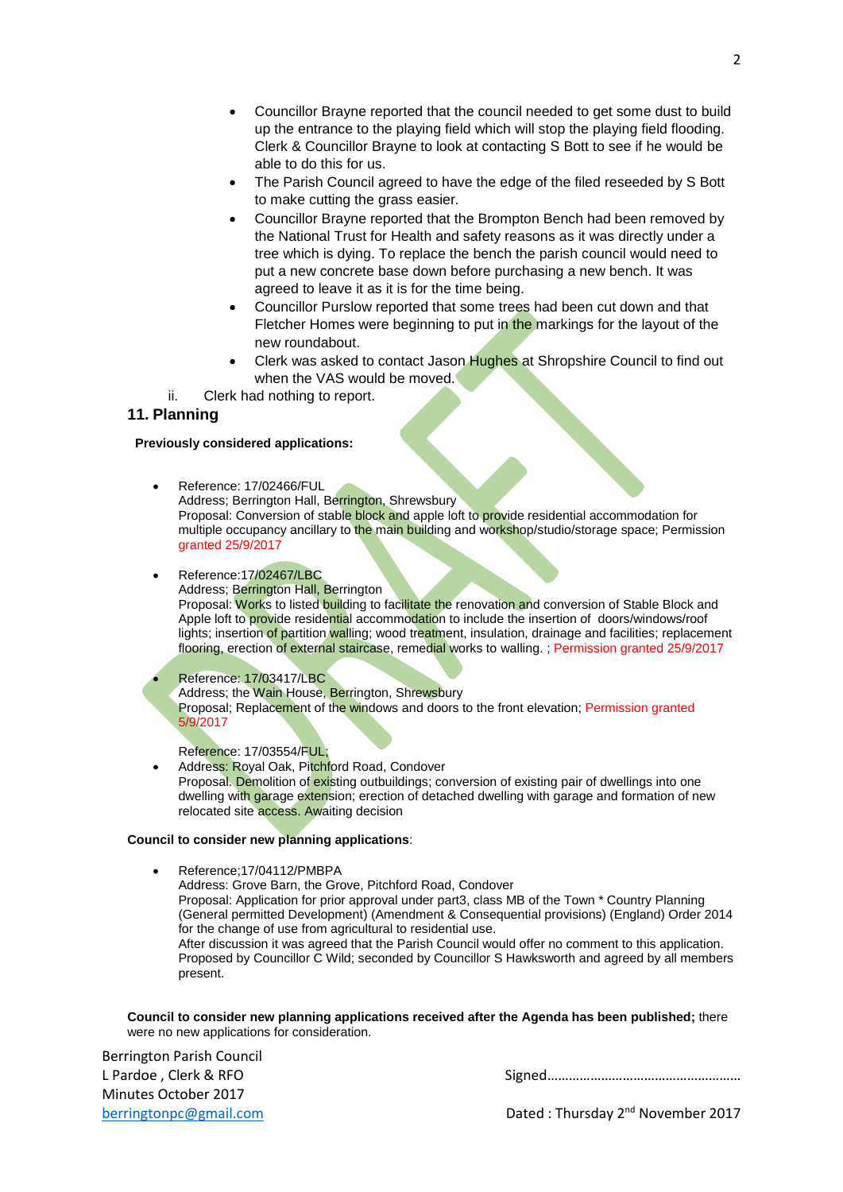$\overline{2}$ 

- Councillor Brayne reported that the council needed to get some dust to build up the entrance to the playing field which will stop the playing field flooding. Clerk & Councillor Brayne to look at contacting S Bott to see if he would be able to do this for us.
- The Parish Council agreed to have the edge of the filed reseeded by S Bott to make cutting the grass easier.
- Councillor Brayne reported that the Brompton Bench had been removed by the National Trust for Health and safety reasons as it was directly under a tree which is dying. To replace the bench the parish council would need to put a new concrete base down before purchasing a new bench. It was agreed to leave it as it is for the time being.
- Councillor Purslow reported that some trees had been cut down and that Fletcher Homes were beginning to put in the markings for the layout of the new roundabout.
- Clerk was asked to contact Jason Hughes at Shropshire Council to find out when the VAS would be moved.
- ii. Clerk had nothing to report.

# **11. Planning**

#### **Previously considered applications:**

- Reference: 17/02466/FUL Address; Berrington Hall, Berrington, Shrewsbury Proposal: Conversion of stable block and apple loft to provide residential accommodation for multiple occupancy ancillary to the main building and workshop/studio/storage space; Permission granted 25/9/2017
- Reference:17/02467/LBC Address; Berrington Hall, Berrington Proposal: Works to listed building to facilitate the renovation and conversion of Stable Block and Apple loft to provide residential accommodation to include the insertion of doors/windows/roof lights; insertion of partition walling; wood treatment, insulation, drainage and facilities; replacement flooring, erection of external staircase, remedial works to walling. ; Permission granted 25/9/2017

 Reference: 17/03417/LBC Address; the Wain House, Berrington, Shrewsbury Proposal; Replacement of the windows and doors to the front elevation; Permission granted 5/9/2017

Reference: 17/03554/FUL;

 Address: Royal Oak, Pitchford Road, Condover Proposal. Demolition of existing outbuildings; conversion of existing pair of dwellings into one dwelling with garage extension; erection of detached dwelling with garage and formation of new relocated site access. Awaiting decision

#### **Council to consider new planning applications**:

- Reference;17/04112/PMBPA
	- Address: Grove Barn, the Grove, Pitchford Road, Condover

Proposal: Application for prior approval under part3, class MB of the Town \* Country Planning (General permitted Development) (Amendment & Consequential provisions) (England) Order 2014 for the change of use from agricultural to residential use.

After discussion it was agreed that the Parish Council would offer no comment to this application. Proposed by Councillor C Wild; seconded by Councillor S Hawksworth and agreed by all members present.

**Council to consider new planning applications received after the Agenda has been published;** there were no new applications for consideration.

Berrington Parish Council Minutes October 2017

L Pardoe , Clerk & RFO Signed………………………………………………

[berringtonpc@gmail.com](mailto:berringtonpc@gmail.com) **Dated** : Thursday 2<sup>nd</sup> November 2017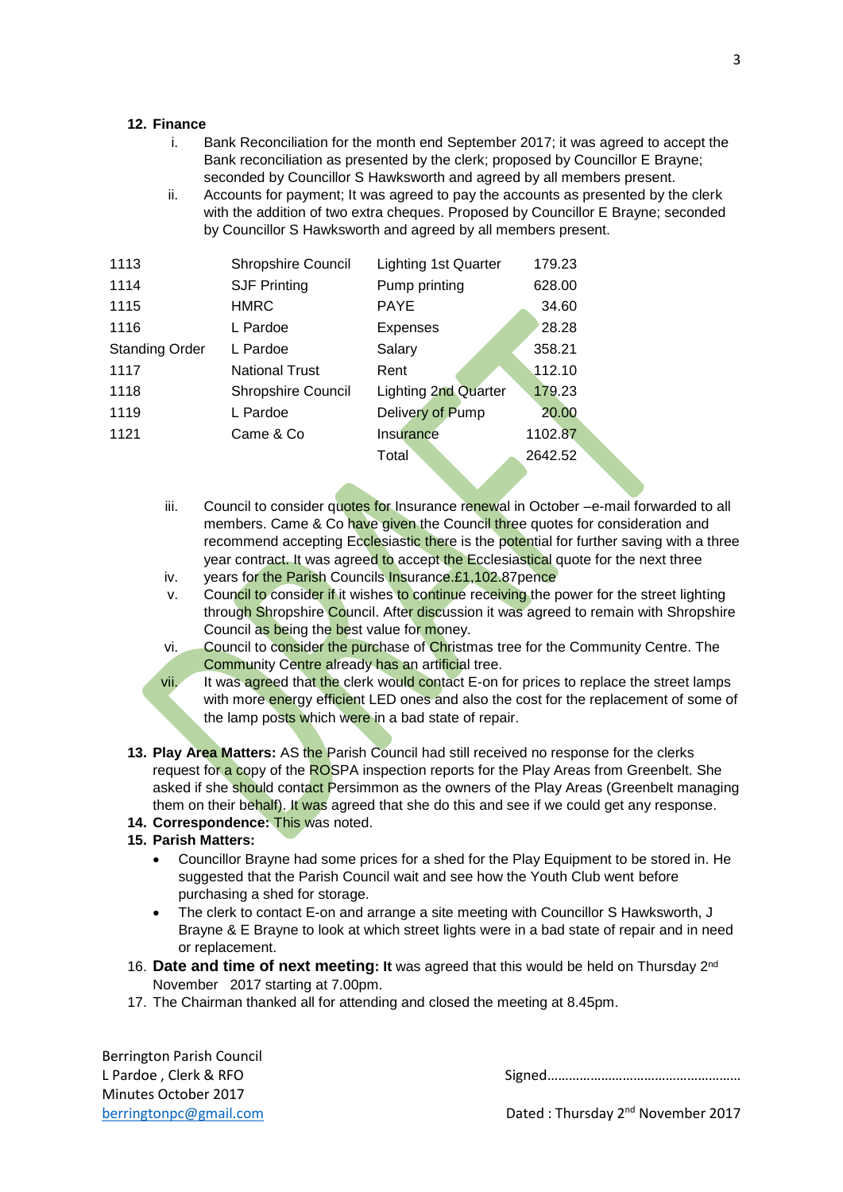#### **12. Finance**

- i. Bank Reconciliation for the month end September 2017; it was agreed to accept the Bank reconciliation as presented by the clerk; proposed by Councillor E Brayne; seconded by Councillor S Hawksworth and agreed by all members present.
- ii. Accounts for payment; It was agreed to pay the accounts as presented by the clerk with the addition of two extra cheques. Proposed by Councillor E Brayne; seconded by Councillor S Hawksworth and agreed by all members present.

| 1113                  | <b>Shropshire Council</b> | <b>Lighting 1st Quarter</b> | 179.23  |
|-----------------------|---------------------------|-----------------------------|---------|
| 1114                  | <b>SJF Printing</b>       | Pump printing               | 628.00  |
| 1115                  | <b>HMRC</b>               | <b>PAYE</b>                 | 34.60   |
| 1116                  | L Pardoe                  | <b>Expenses</b>             | 28.28   |
| <b>Standing Order</b> | L Pardoe                  | Salary                      | 358.21  |
| 1117                  | <b>National Trust</b>     | Rent                        | 112.10  |
| 1118                  | <b>Shropshire Council</b> | <b>Lighting 2nd Quarter</b> | 179.23  |
| 1119                  | L Pardoe                  | Delivery of Pump            | 20.00   |
| 1121                  | Came & Co                 | Insurance                   | 1102.87 |
|                       |                           | Total                       | 2642.52 |

- iii. Council to consider quotes for Insurance renewal in October –e-mail forwarded to all members. Came & Co have given the Council three quotes for consideration and recommend accepting Ecclesiastic there is the potential for further saving with a three year contract. It was agreed to accept the Ecclesiastical quote for the next three
- iv. years for the Parish Councils Insurance.£1,102.87pence
- v. Council to consider if it wishes to continue receiving the power for the street lighting through Shropshire Council. After discussion it was agreed to remain with Shropshire Council as being the best value for money.
- vi. Council to consider the purchase of Christmas tree for the Community Centre. The Community Centre already has an artificial tree.
- vii. It was agreed that the clerk would contact E-on for prices to replace the street lamps with more energy efficient LED ones and also the cost for the replacement of some of the lamp posts which were in a bad state of repair.
- **13. Play Area Matters:** AS the Parish Council had still received no response for the clerks request for a copy of the ROSPA inspection reports for the Play Areas from Greenbelt. She asked if she should contact Persimmon as the owners of the Play Areas (Greenbelt managing them on their behalf). It was agreed that she do this and see if we could get any response.
- **14. Correspondence:** This was noted.

### **15. Parish Matters:**

- Councillor Brayne had some prices for a shed for the Play Equipment to be stored in. He suggested that the Parish Council wait and see how the Youth Club went before purchasing a shed for storage.
- The clerk to contact E-on and arrange a site meeting with Councillor S Hawksworth, J Brayne & E Brayne to look at which street lights were in a bad state of repair and in need or replacement.
- 16. Date and time of next meeting: It was agreed that this would be held on Thursday 2<sup>nd</sup> November 2017 starting at 7.00pm.
- 17. The Chairman thanked all for attending and closed the meeting at 8.45pm.

Berrington Parish Council Minutes October 2017

L Pardoe , Clerk & RFO Signed………………………………………………

[berringtonpc@gmail.com](mailto:berringtonpc@gmail.com) **Dated** : Thursday 2<sup>nd</sup> November 2017